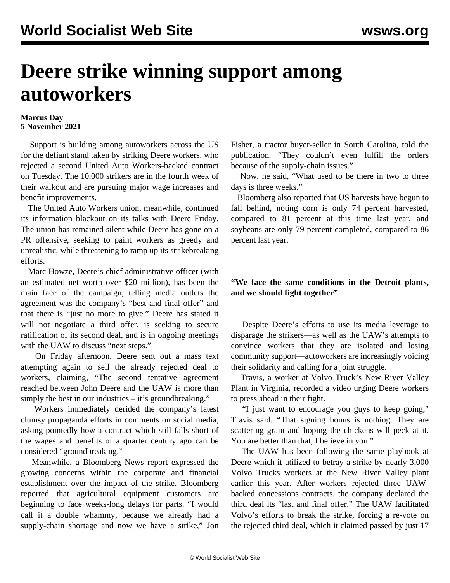## **Deere strike winning support among autoworkers**

## **Marcus Day 5 November 2021**

 Support is building among autoworkers across the US for the defiant stand taken by striking Deere workers, who rejected a second United Auto Workers-backed contract on Tuesday. The 10,000 strikers are in the fourth week of their walkout and are pursuing major wage increases and benefit improvements.

 The United Auto Workers union, meanwhile, continued its information blackout on its talks with Deere Friday. The union has remained silent while Deere has gone on a PR offensive, seeking to paint workers as greedy and unrealistic, while threatening to ramp up its strikebreaking efforts.

 Marc Howze, Deere's chief administrative officer (with an estimated net worth over \$20 million), has been the main face of the campaign, telling media outlets the agreement was the company's "best and final offer" and that there is "just no more to give." Deere has stated it will not negotiate a third offer, is seeking to secure ratification of its second deal, and is in ongoing meetings with the UAW to discuss "next steps."

 On Friday afternoon, Deere sent out a mass text attempting again to sell the already rejected deal to workers, claiming, "The second tentative agreement reached between John Deere and the UAW is more than simply the best in our industries – it's groundbreaking."

 Workers immediately derided the company's latest clumsy propaganda efforts in comments on social media, asking pointedly how a contract which still falls short of the wages and benefits of a quarter century ago can be considered "groundbreaking."

 Meanwhile, a Bloomberg News report expressed the growing concerns within the corporate and financial establishment over the impact of the strike. Bloomberg reported that agricultural equipment customers are beginning to face weeks-long delays for parts. "I would call it a double whammy, because we already had a supply-chain shortage and now we have a strike," Jon Fisher, a tractor buyer-seller in South Carolina, told the publication. "They couldn't even fulfill the orders because of the supply-chain issues."

 Now, he said, "What used to be there in two to three days is three weeks."

 Bloomberg also reported that US harvests have begun to fall behind, noting corn is only 74 percent harvested, compared to 81 percent at this time last year, and soybeans are only 79 percent completed, compared to 86 percent last year.

## **"We face the same conditions in the Detroit plants, and we should fight together"**

 Despite Deere's efforts to use its media leverage to disparage the strikers—as well as the UAW's attempts to convince workers that they are isolated and losing community support—autoworkers are increasingly voicing their solidarity and calling for a joint struggle.

 Travis, a worker at Volvo Truck's New River Valley Plant in Virginia, recorded a video urging Deere workers to press ahead in their fight.

 "I just want to encourage you guys to keep going," Travis said. "That signing bonus is nothing. They are scattering grain and hoping the chickens will peck at it. You are better than that, I believe in you."

 The UAW has been following the same playbook at Deere which it utilized to betray a [strike by nearly 3,000](/en/articles/2021/07/20/vrfc-j20.html) [Volvo Trucks workers](/en/articles/2021/07/20/vrfc-j20.html) at the New River Valley plant earlier this year. After workers rejected three UAWbacked concessions contracts, the company declared the third deal its "last and final offer." The UAW facilitated Volvo's efforts to break the strike, forcing a re-vote on the rejected third deal, which it claimed passed by just 17